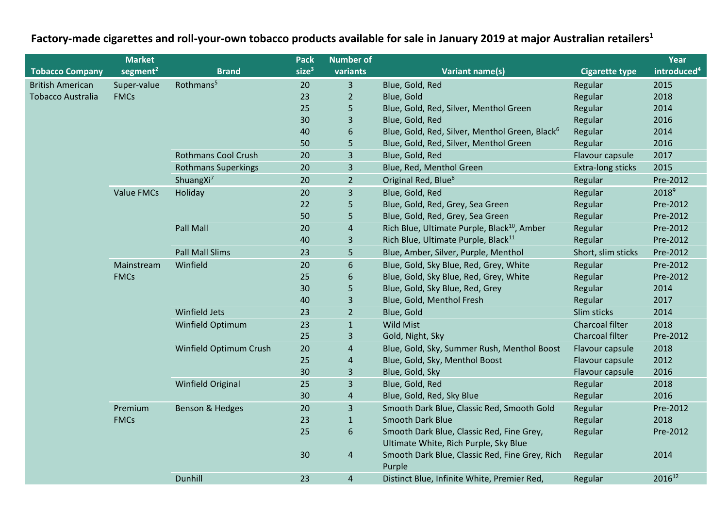## **Factory-made cigarettes and roll-your-own tobacco products available for sale in January 2019 at major Australian retailers<sup>1</sup>**

|                          | <b>Market</b>        |                            | Pack              | <b>Number of</b> |                                                                                    |                       | Year                    |
|--------------------------|----------------------|----------------------------|-------------------|------------------|------------------------------------------------------------------------------------|-----------------------|-------------------------|
| <b>Tobacco Company</b>   | segment <sup>2</sup> | <b>Brand</b>               | size <sup>3</sup> | variants         | <b>Variant name(s)</b>                                                             | <b>Cigarette type</b> | introduced <sup>4</sup> |
| <b>British American</b>  | Super-value          | Rothmans <sup>5</sup>      | 20                | $\overline{3}$   | Blue, Gold, Red                                                                    | Regular               | 2015                    |
| <b>Tobacco Australia</b> | <b>FMCs</b>          |                            | 23                | $\overline{2}$   | Blue, Gold                                                                         | Regular               | 2018                    |
|                          |                      |                            | 25                | 5                | Blue, Gold, Red, Silver, Menthol Green                                             | Regular               | 2014                    |
|                          |                      |                            | 30                | 3                | Blue, Gold, Red                                                                    | Regular               | 2016                    |
|                          |                      |                            | 40                | $6\phantom{1}6$  | Blue, Gold, Red, Silver, Menthol Green, Black <sup>6</sup>                         | Regular               | 2014                    |
|                          |                      |                            | 50                | 5                | Blue, Gold, Red, Silver, Menthol Green                                             | Regular               | 2016                    |
|                          |                      | <b>Rothmans Cool Crush</b> | 20                | $\overline{3}$   | Blue, Gold, Red                                                                    | Flavour capsule       | 2017                    |
|                          |                      | <b>Rothmans Superkings</b> | 20                | 3                | Blue, Red, Menthol Green                                                           | Extra-long sticks     | 2015                    |
|                          |                      | ShuangXi <sup>7</sup>      | 20                | $\overline{2}$   | Original Red, Blue <sup>8</sup>                                                    | Regular               | Pre-2012                |
|                          | <b>Value FMCs</b>    | Holiday                    | 20                | $\overline{3}$   | Blue, Gold, Red                                                                    | Regular               | $2018^9$                |
|                          |                      |                            | 22                | 5                | Blue, Gold, Red, Grey, Sea Green                                                   | Regular               | Pre-2012                |
|                          |                      |                            | 50                | 5                | Blue, Gold, Red, Grey, Sea Green                                                   | Regular               | Pre-2012                |
|                          |                      | Pall Mall                  | 20                | $\overline{4}$   | Rich Blue, Ultimate Purple, Black <sup>10</sup> , Amber                            | Regular               | Pre-2012                |
|                          |                      |                            | 40                | $\overline{3}$   | Rich Blue, Ultimate Purple, Black <sup>11</sup>                                    | Regular               | Pre-2012                |
|                          |                      | <b>Pall Mall Slims</b>     | 23                | 5                | Blue, Amber, Silver, Purple, Menthol                                               | Short, slim sticks    | Pre-2012                |
|                          | Mainstream           | Winfield                   | 20                | $6\,$            | Blue, Gold, Sky Blue, Red, Grey, White                                             | Regular               | Pre-2012                |
|                          | <b>FMCs</b>          |                            | 25                | $\boldsymbol{6}$ | Blue, Gold, Sky Blue, Red, Grey, White                                             | Regular               | Pre-2012                |
|                          |                      |                            | 30                | 5                | Blue, Gold, Sky Blue, Red, Grey                                                    | Regular               | 2014                    |
|                          |                      |                            | 40                | 3                | Blue, Gold, Menthol Fresh                                                          | Regular               | 2017                    |
|                          |                      | Winfield Jets              | 23                | $\overline{2}$   | Blue, Gold                                                                         | Slim sticks           | 2014                    |
|                          |                      | Winfield Optimum           | 23                | $\mathbf{1}$     | Wild Mist                                                                          | Charcoal filter       | 2018                    |
|                          |                      |                            | 25                | 3                | Gold, Night, Sky                                                                   | Charcoal filter       | Pre-2012                |
|                          |                      | Winfield Optimum Crush     | 20                | $\overline{4}$   | Blue, Gold, Sky, Summer Rush, Menthol Boost                                        | Flavour capsule       | 2018                    |
|                          |                      |                            | 25                | $\overline{4}$   | Blue, Gold, Sky, Menthol Boost                                                     | Flavour capsule       | 2012                    |
|                          |                      |                            | 30                | $\overline{3}$   | Blue, Gold, Sky                                                                    | Flavour capsule       | 2016                    |
|                          |                      | Winfield Original          | 25                | $\overline{3}$   | Blue, Gold, Red                                                                    | Regular               | 2018                    |
|                          |                      |                            | 30                | $\overline{4}$   | Blue, Gold, Red, Sky Blue                                                          | Regular               | 2016                    |
|                          | Premium              | Benson & Hedges            | 20                | $\overline{3}$   | Smooth Dark Blue, Classic Red, Smooth Gold                                         | Regular               | Pre-2012                |
|                          | <b>FMCs</b>          |                            | 23                | $\mathbf{1}$     | <b>Smooth Dark Blue</b>                                                            | Regular               | 2018                    |
|                          |                      |                            | 25                | $\boldsymbol{6}$ | Smooth Dark Blue, Classic Red, Fine Grey,<br>Ultimate White, Rich Purple, Sky Blue | Regular               | Pre-2012                |
|                          |                      |                            | 30                | $\overline{4}$   | Smooth Dark Blue, Classic Red, Fine Grey, Rich<br>Purple                           | Regular               | 2014                    |
|                          |                      | Dunhill                    | 23                | $\overline{4}$   | Distinct Blue, Infinite White, Premier Red,                                        | Regular               | 201612                  |
|                          |                      |                            |                   |                  |                                                                                    |                       |                         |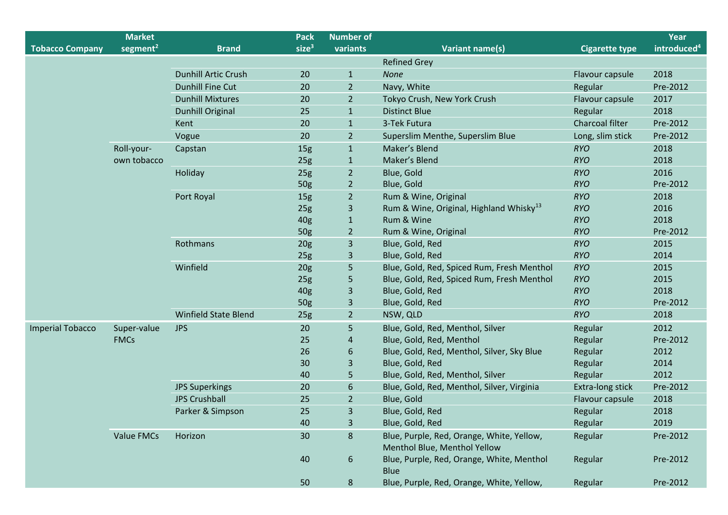|                         | <b>Market</b>        |                             | <b>Pack</b>       | <b>Number of</b> |                                                                           |                       | Year                    |
|-------------------------|----------------------|-----------------------------|-------------------|------------------|---------------------------------------------------------------------------|-----------------------|-------------------------|
| <b>Tobacco Company</b>  | segment <sup>2</sup> | <b>Brand</b>                | size <sup>3</sup> | variants         | <b>Variant name(s)</b>                                                    | <b>Cigarette type</b> | introduced <sup>4</sup> |
|                         |                      |                             |                   |                  | <b>Refined Grey</b>                                                       |                       |                         |
|                         |                      | <b>Dunhill Artic Crush</b>  | 20                | $\mathbf{1}$     | <b>None</b>                                                               | Flavour capsule       | 2018                    |
|                         |                      | <b>Dunhill Fine Cut</b>     | 20                | $\overline{2}$   | Navy, White                                                               | Regular               | Pre-2012                |
|                         |                      | <b>Dunhill Mixtures</b>     | 20                | $\overline{2}$   | Tokyo Crush, New York Crush                                               | Flavour capsule       | 2017                    |
|                         |                      | <b>Dunhill Original</b>     | 25                | $\mathbf{1}$     | <b>Distinct Blue</b>                                                      | Regular               | 2018                    |
|                         |                      | Kent                        | 20                | $\mathbf{1}$     | 3-Tek Futura                                                              | Charcoal filter       | Pre-2012                |
|                         |                      | Vogue                       | 20                | $\overline{2}$   | Superslim Menthe, Superslim Blue                                          | Long, slim stick      | Pre-2012                |
|                         | Roll-your-           | Capstan                     | 15 <sub>g</sub>   | $\mathbf{1}$     | Maker's Blend                                                             | <b>RYO</b>            | 2018                    |
|                         | own tobacco          |                             | 25g               | $\mathbf{1}$     | Maker's Blend                                                             | <b>RYO</b>            | 2018                    |
|                         |                      | Holiday                     | 25g               | $\overline{2}$   | Blue, Gold                                                                | <b>RYO</b>            | 2016                    |
|                         |                      |                             | 50g               | $\overline{2}$   | Blue, Gold                                                                | <b>RYO</b>            | Pre-2012                |
|                         |                      | Port Royal                  | 15 <sub>g</sub>   | $\overline{2}$   | Rum & Wine, Original                                                      | <b>RYO</b>            | 2018                    |
|                         |                      |                             | 25g               | 3                | Rum & Wine, Original, Highland Whisky <sup>13</sup>                       | <b>RYO</b>            | 2016                    |
|                         |                      |                             | 40g               | $\mathbf{1}$     | Rum & Wine                                                                | <b>RYO</b>            | 2018                    |
|                         |                      |                             | 50g               | $\overline{2}$   | Rum & Wine, Original                                                      | <b>RYO</b>            | Pre-2012                |
|                         |                      | Rothmans                    | 20 <sub>g</sub>   | 3                | Blue, Gold, Red                                                           | <b>RYO</b>            | 2015                    |
|                         |                      |                             | 25g               | 3                | Blue, Gold, Red                                                           | <b>RYO</b>            | 2014                    |
|                         |                      | Winfield                    | 20 <sub>g</sub>   | 5                | Blue, Gold, Red, Spiced Rum, Fresh Menthol                                | <b>RYO</b>            | 2015                    |
|                         |                      |                             | 25g               | 5                | Blue, Gold, Red, Spiced Rum, Fresh Menthol                                | <b>RYO</b>            | 2015                    |
|                         |                      |                             | 40g               | 3                | Blue, Gold, Red                                                           | <b>RYO</b>            | 2018                    |
|                         |                      |                             | 50g               | 3                | Blue, Gold, Red                                                           | <b>RYO</b>            | Pre-2012                |
|                         |                      | <b>Winfield State Blend</b> | 25g               | $\overline{2}$   | NSW, QLD                                                                  | <b>RYO</b>            | 2018                    |
| <b>Imperial Tobacco</b> | Super-value          | <b>JPS</b>                  | 20                | 5                | Blue, Gold, Red, Menthol, Silver                                          | Regular               | 2012                    |
|                         | <b>FMCs</b>          |                             | 25                | $\overline{4}$   | Blue, Gold, Red, Menthol                                                  | Regular               | Pre-2012                |
|                         |                      |                             | 26                | 6                | Blue, Gold, Red, Menthol, Silver, Sky Blue                                | Regular               | 2012                    |
|                         |                      |                             | 30                | 3                | Blue, Gold, Red                                                           | Regular               | 2014                    |
|                         |                      |                             | 40                | 5                | Blue, Gold, Red, Menthol, Silver                                          | Regular               | 2012                    |
|                         |                      | <b>JPS Superkings</b>       | 20                | 6                | Blue, Gold, Red, Menthol, Silver, Virginia                                | Extra-long stick      | Pre-2012                |
|                         |                      | <b>JPS Crushball</b>        | 25                | $\overline{2}$   | Blue, Gold                                                                | Flavour capsule       | 2018                    |
|                         |                      | Parker & Simpson            | 25                | 3                | Blue, Gold, Red                                                           | Regular               | 2018                    |
|                         |                      |                             | 40                | $\overline{3}$   | Blue, Gold, Red                                                           | Regular               | 2019                    |
|                         | <b>Value FMCs</b>    | Horizon                     | 30                | 8                | Blue, Purple, Red, Orange, White, Yellow,<br>Menthol Blue, Menthol Yellow | Regular               | Pre-2012                |
|                         |                      |                             | 40                | 6                | Blue, Purple, Red, Orange, White, Menthol<br><b>Blue</b>                  | Regular               | Pre-2012                |
|                         |                      |                             | 50                | 8 <sup>°</sup>   | Blue, Purple, Red, Orange, White, Yellow,                                 | Regular               | Pre-2012                |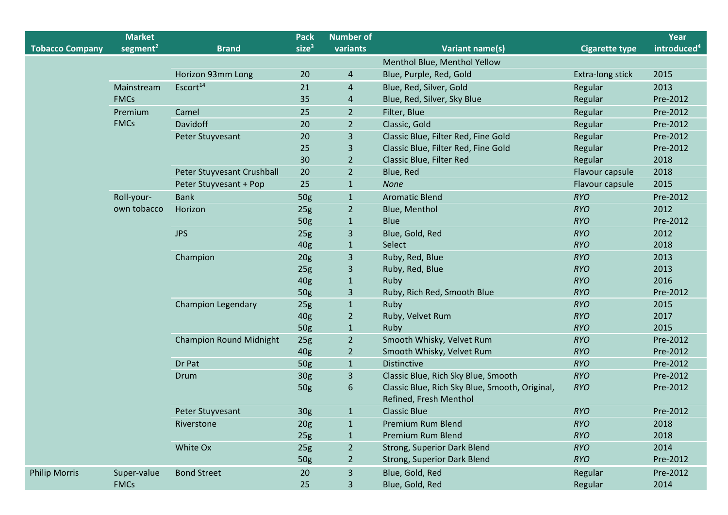|                        | <b>Market</b>        |                                | <b>Pack</b>       | <b>Number of</b> |                                                                          |                       | Year                    |
|------------------------|----------------------|--------------------------------|-------------------|------------------|--------------------------------------------------------------------------|-----------------------|-------------------------|
| <b>Tobacco Company</b> | segment <sup>2</sup> | <b>Brand</b>                   | size <sup>3</sup> | variants         | <b>Variant name(s)</b>                                                   | <b>Cigarette type</b> | introduced <sup>4</sup> |
|                        |                      |                                |                   |                  | Menthol Blue, Menthol Yellow                                             |                       |                         |
|                        |                      | Horizon 93mm Long              | 20                | $\overline{4}$   | Blue, Purple, Red, Gold                                                  | Extra-long stick      | 2015                    |
|                        | Mainstream           | Escort <sup>14</sup>           | 21                | $\overline{4}$   | Blue, Red, Silver, Gold                                                  | Regular               | 2013                    |
|                        | <b>FMCs</b>          |                                | 35                | $\overline{a}$   | Blue, Red, Silver, Sky Blue                                              | Regular               | Pre-2012                |
|                        | Premium              | Camel                          | 25                | $\overline{2}$   | Filter, Blue                                                             | Regular               | Pre-2012                |
|                        | <b>FMCs</b>          | Davidoff                       | 20                | $\overline{2}$   | Classic, Gold                                                            | Regular               | Pre-2012                |
|                        |                      | Peter Stuyvesant               | 20                | 3                | Classic Blue, Filter Red, Fine Gold                                      | Regular               | Pre-2012                |
|                        |                      |                                | 25                | $\overline{3}$   | Classic Blue, Filter Red, Fine Gold                                      | Regular               | Pre-2012                |
|                        |                      |                                | 30                | $\overline{2}$   | Classic Blue, Filter Red                                                 | Regular               | 2018                    |
|                        |                      | Peter Stuyvesant Crushball     | 20                | $\overline{2}$   | Blue, Red                                                                | Flavour capsule       | 2018                    |
|                        |                      | Peter Stuyvesant + Pop         | 25                | $\mathbf{1}$     | <b>None</b>                                                              | Flavour capsule       | 2015                    |
|                        | Roll-your-           | <b>Bank</b>                    | 50g               | $\mathbf{1}$     | <b>Aromatic Blend</b>                                                    | <b>RYO</b>            | Pre-2012                |
|                        | own tobacco          | Horizon                        | 25g               | $\overline{2}$   | Blue, Menthol                                                            | <b>RYO</b>            | 2012                    |
|                        |                      |                                | 50g               | $\mathbf{1}$     | <b>Blue</b>                                                              | <b>RYO</b>            | Pre-2012                |
|                        |                      | <b>JPS</b>                     | 25g               | $\overline{3}$   | Blue, Gold, Red                                                          | <b>RYO</b>            | 2012                    |
|                        |                      |                                | 40g               | $\mathbf{1}$     | Select                                                                   | <b>RYO</b>            | 2018                    |
|                        |                      | Champion                       | 20 <sub>g</sub>   | $\overline{3}$   | Ruby, Red, Blue                                                          | <b>RYO</b>            | 2013                    |
|                        |                      |                                | 25g               | 3                | Ruby, Red, Blue                                                          | <b>RYO</b>            | 2013                    |
|                        |                      |                                | 40g               | $\mathbf{1}$     | Ruby                                                                     | <b>RYO</b>            | 2016                    |
|                        |                      |                                | 50g               | $\overline{3}$   | Ruby, Rich Red, Smooth Blue                                              | <b>RYO</b>            | Pre-2012                |
|                        |                      | <b>Champion Legendary</b>      | 25g               | $\mathbf{1}$     | Ruby                                                                     | <b>RYO</b>            | 2015                    |
|                        |                      |                                | 40g               | $\overline{2}$   | Ruby, Velvet Rum                                                         | <b>RYO</b>            | 2017                    |
|                        |                      |                                | 50g               | $\mathbf{1}$     | Ruby                                                                     | <b>RYO</b>            | 2015                    |
|                        |                      | <b>Champion Round Midnight</b> | 25g               | $\overline{2}$   | Smooth Whisky, Velvet Rum                                                | <b>RYO</b>            | Pre-2012                |
|                        |                      |                                | 40g               | $\overline{2}$   | Smooth Whisky, Velvet Rum                                                | <b>RYO</b>            | Pre-2012                |
|                        |                      | Dr Pat                         | 50g               | $\mathbf{1}$     | <b>Distinctive</b>                                                       | <b>RYO</b>            | Pre-2012                |
|                        |                      | Drum                           | 30g               | $\overline{3}$   | Classic Blue, Rich Sky Blue, Smooth                                      | <b>RYO</b>            | Pre-2012                |
|                        |                      |                                | 50g               | 6                | Classic Blue, Rich Sky Blue, Smooth, Original,<br>Refined, Fresh Menthol | <b>RYO</b>            | Pre-2012                |
|                        |                      | Peter Stuyvesant               | 30g               | $\mathbf{1}$     | <b>Classic Blue</b>                                                      | <b>RYO</b>            | Pre-2012                |
|                        |                      | Riverstone                     | 20 <sub>g</sub>   | $\mathbf{1}$     | Premium Rum Blend                                                        | <b>RYO</b>            | 2018                    |
|                        |                      |                                | 25g               | $\mathbf{1}$     | Premium Rum Blend                                                        | <b>RYO</b>            | 2018                    |
|                        |                      | White Ox                       | 25g               | $\overline{2}$   | Strong, Superior Dark Blend                                              | RYO                   | 2014                    |
|                        |                      |                                | 50g               | $\overline{2}$   | Strong, Superior Dark Blend                                              | <b>RYO</b>            | Pre-2012                |
| <b>Philip Morris</b>   | Super-value          | <b>Bond Street</b>             | 20                | 3                | Blue, Gold, Red                                                          | Regular               | Pre-2012                |
|                        | <b>FMCs</b>          |                                | 25                | 3                | Blue, Gold, Red                                                          | Regular               | 2014                    |
|                        |                      |                                |                   |                  |                                                                          |                       |                         |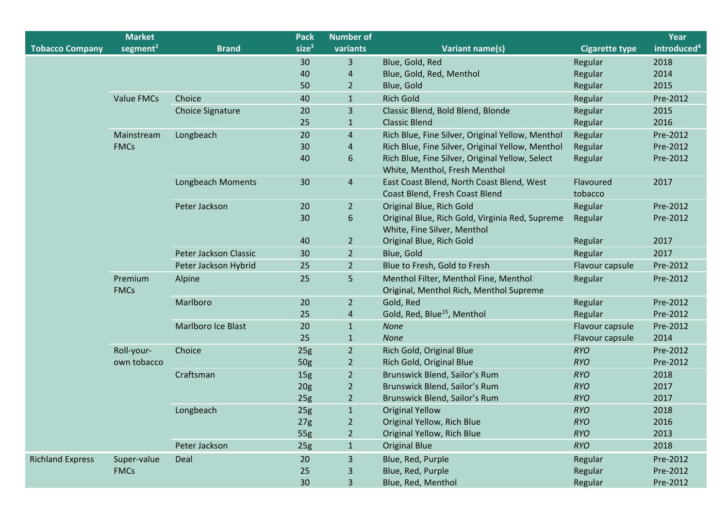|                         | <b>Market</b>          |                          | <b>Pack</b>       | <b>Number of</b> |                                                                                  |                       | Year                    |
|-------------------------|------------------------|--------------------------|-------------------|------------------|----------------------------------------------------------------------------------|-----------------------|-------------------------|
| <b>Tobacco Company</b>  | segment <sup>2</sup>   | <b>Brand</b>             | size <sup>3</sup> | variants         | <b>Variant name(s)</b>                                                           | <b>Cigarette type</b> | introduced <sup>4</sup> |
|                         |                        |                          | 30                | 3                | Blue, Gold, Red                                                                  | Regular               | 2018                    |
|                         |                        |                          | 40                | 4                | Blue, Gold, Red, Menthol                                                         | Regular               | 2014                    |
|                         |                        |                          | 50                | $\overline{2}$   | Blue, Gold                                                                       | Regular               | 2015                    |
|                         | <b>Value FMCs</b>      | Choice                   | 40                | $\mathbf{1}$     | <b>Rich Gold</b>                                                                 | Regular               | Pre-2012                |
|                         |                        | <b>Choice Signature</b>  | 20                | 3                | Classic Blend, Bold Blend, Blonde                                                | Regular               | 2015                    |
|                         |                        |                          | 25                | $\mathbf{1}$     | <b>Classic Blend</b>                                                             | Regular               | 2016                    |
|                         | Mainstream             | Longbeach                | 20                | $\overline{4}$   | Rich Blue, Fine Silver, Original Yellow, Menthol                                 | Regular               | Pre-2012                |
|                         | <b>FMCs</b>            |                          | 30                | $\overline{4}$   | Rich Blue, Fine Silver, Original Yellow, Menthol                                 | Regular               | Pre-2012                |
|                         |                        |                          | 40                | 6                | Rich Blue, Fine Silver, Original Yellow, Select<br>White, Menthol, Fresh Menthol | Regular               | Pre-2012                |
|                         |                        | <b>Longbeach Moments</b> | 30                | $\overline{4}$   | East Coast Blend, North Coast Blend, West<br>Coast Blend, Fresh Coast Blend      | Flavoured<br>tobacco  | 2017                    |
|                         |                        | Peter Jackson            | 20                | $\overline{2}$   | Original Blue, Rich Gold                                                         | Regular               | Pre-2012                |
|                         |                        |                          | 30                | 6                | Original Blue, Rich Gold, Virginia Red, Supreme<br>White, Fine Silver, Menthol   | Regular               | Pre-2012                |
|                         |                        |                          | 40                | $\overline{2}$   | Original Blue, Rich Gold                                                         | Regular               | 2017                    |
|                         |                        | Peter Jackson Classic    | 30                | $\overline{2}$   | Blue, Gold                                                                       | Regular               | 2017                    |
|                         |                        | Peter Jackson Hybrid     | 25                | $\overline{2}$   | Blue to Fresh, Gold to Fresh                                                     | Flavour capsule       | Pre-2012                |
|                         | Premium<br><b>FMCs</b> | Alpine                   | 25                | 5                | Menthol Filter, Menthol Fine, Menthol<br>Original, Menthol Rich, Menthol Supreme | Regular               | Pre-2012                |
|                         |                        | Marlboro                 | 20                | $\overline{2}$   | Gold, Red                                                                        | Regular               | Pre-2012                |
|                         |                        |                          | 25                | 4                | Gold, Red, Blue <sup>15</sup> , Menthol                                          | Regular               | Pre-2012                |
|                         |                        | Marlboro Ice Blast       | 20                | $\mathbf{1}$     | <b>None</b>                                                                      | Flavour capsule       | Pre-2012                |
|                         |                        |                          | 25                | $1\,$            | None                                                                             | Flavour capsule       | 2014                    |
|                         | Roll-your-             | Choice                   | 25g               | $\overline{2}$   | Rich Gold, Original Blue                                                         | <b>RYO</b>            | Pre-2012                |
|                         | own tobacco            |                          | 50g               | $\overline{2}$   | Rich Gold, Original Blue                                                         | <b>RYO</b>            | Pre-2012                |
|                         |                        | Craftsman                | 15 <sub>g</sub>   | $\overline{2}$   | Brunswick Blend, Sailor's Rum                                                    | <b>RYO</b>            | 2018                    |
|                         |                        |                          | 20 <sub>g</sub>   | $\overline{2}$   | Brunswick Blend, Sailor's Rum                                                    | <b>RYO</b>            | 2017                    |
|                         |                        |                          | 25 <sub>g</sub>   | $\overline{2}$   | Brunswick Blend, Sailor's Rum                                                    | <b>RYO</b>            | 2017                    |
|                         |                        | Longbeach                | 25g               | $\mathbf{1}$     | <b>Original Yellow</b>                                                           | <b>RYO</b>            | 2018                    |
|                         |                        |                          | 27g               | $\overline{2}$   | Original Yellow, Rich Blue                                                       | <b>RYO</b>            | 2016                    |
|                         |                        |                          | 55g               | $\overline{2}$   | Original Yellow, Rich Blue                                                       | <b>RYO</b>            | 2013                    |
|                         |                        | Peter Jackson            | 25g               | $\mathbf{1}$     | <b>Original Blue</b>                                                             | <b>RYO</b>            | 2018                    |
| <b>Richland Express</b> | Super-value            | Deal                     | 20                | 3                | Blue, Red, Purple                                                                | Regular               | Pre-2012                |
|                         | <b>FMCs</b>            |                          | 25                | 3                | Blue, Red, Purple                                                                | Regular               | Pre-2012                |
|                         |                        |                          | 30                | 3                | Blue, Red, Menthol                                                               | Regular               | Pre-2012                |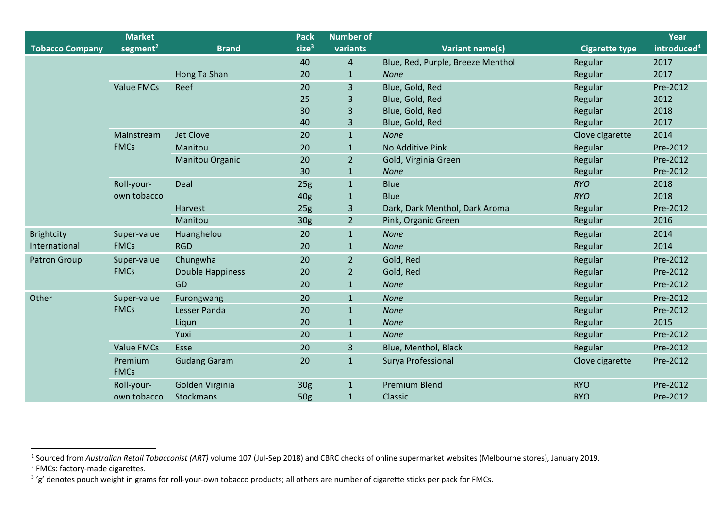|                        | <b>Market</b>        |                     | <b>Pack</b>       | <b>Number of</b> |                                   |                       | Year                    |
|------------------------|----------------------|---------------------|-------------------|------------------|-----------------------------------|-----------------------|-------------------------|
| <b>Tobacco Company</b> | segment <sup>2</sup> | <b>Brand</b>        | size <sup>3</sup> | variants         | <b>Variant name(s)</b>            | <b>Cigarette type</b> | introduced <sup>4</sup> |
|                        |                      |                     | 40                | $\overline{4}$   | Blue, Red, Purple, Breeze Menthol | Regular               | 2017                    |
|                        |                      | Hong Ta Shan        | 20                | $\mathbf{1}$     | <b>None</b>                       | Regular               | 2017                    |
|                        | <b>Value FMCs</b>    | Reef                | 20                | 3                | Blue, Gold, Red                   | Regular               | Pre-2012                |
|                        |                      |                     | 25                | 3                | Blue, Gold, Red                   | Regular               | 2012                    |
|                        |                      |                     | 30                | 3                | Blue, Gold, Red                   | Regular               | 2018                    |
|                        |                      |                     | 40                | $\overline{3}$   | Blue, Gold, Red                   | Regular               | 2017                    |
|                        | Mainstream           | Jet Clove           | 20                | $\mathbf{1}$     | <b>None</b>                       | Clove cigarette       | 2014                    |
|                        | <b>FMCs</b>          | Manitou             | 20                | $\mathbf{1}$     | No Additive Pink                  | Regular               | Pre-2012                |
|                        |                      | Manitou Organic     | 20                | $\overline{2}$   | Gold, Virginia Green              | Regular               | Pre-2012                |
|                        |                      |                     | 30                | $\mathbf{1}$     | <b>None</b>                       | Regular               | Pre-2012                |
|                        | Roll-your-           | Deal                | 25g               | $\mathbf{1}$     | <b>Blue</b>                       | <b>RYO</b>            | 2018                    |
|                        | own tobacco          |                     | 40 <sub>g</sub>   | $\mathbf{1}$     | <b>Blue</b>                       | <b>RYO</b>            | 2018                    |
|                        |                      | Harvest             | 25g               | $\overline{3}$   | Dark, Dark Menthol, Dark Aroma    | Regular               | Pre-2012                |
|                        |                      | Manitou             | 30g               | $\overline{2}$   | Pink, Organic Green               | Regular               | 2016                    |
| <b>Brightcity</b>      | Super-value          | Huanghelou          | 20                | $\mathbf{1}$     | <b>None</b>                       | Regular               | 2014                    |
| International          | <b>FMCs</b>          | <b>RGD</b>          | 20                | $\mathbf{1}$     | <b>None</b>                       | Regular               | 2014                    |
| Patron Group           | Super-value          | Chungwha            | 20                | $\overline{2}$   | Gold, Red                         | Regular               | Pre-2012                |
|                        | <b>FMCs</b>          | Double Happiness    | 20                | $\overline{2}$   | Gold, Red                         | Regular               | Pre-2012                |
|                        |                      | GD                  | 20                | $\mathbf{1}$     | None                              | Regular               | Pre-2012                |
| Other                  | Super-value          | Furongwang          | 20                | $\mathbf{1}$     | None                              | Regular               | Pre-2012                |
|                        | <b>FMCs</b>          | Lesser Panda        | 20                | $\mathbf{1}$     | <b>None</b>                       | Regular               | Pre-2012                |
|                        |                      | Liqun               | 20                | $\mathbf{1}$     | <b>None</b>                       | Regular               | 2015                    |
|                        |                      | Yuxi                | 20                | $\mathbf{1}$     | <b>None</b>                       | Regular               | Pre-2012                |
|                        | <b>Value FMCs</b>    | Esse                | 20                | $\overline{3}$   | Blue, Menthol, Black              | Regular               | Pre-2012                |
|                        | Premium              | <b>Gudang Garam</b> | 20                | $\mathbf{1}$     | Surya Professional                | Clove cigarette       | Pre-2012                |
|                        | <b>FMCs</b>          |                     |                   |                  |                                   |                       |                         |
|                        | Roll-your-           | Golden Virginia     | 30g               | $\mathbf{1}$     | <b>Premium Blend</b>              | <b>RYO</b>            | Pre-2012                |
|                        | own tobacco          | Stockmans           | 50 <sub>g</sub>   | $\mathbf{1}$     | Classic                           | <b>RYO</b>            | Pre-2012                |

<sup>1</sup> Sourced from *Australian Retail Tobacconist (ART) v*olume 107 (Jul-Sep 2018) and CBRC checks of online supermarket websites (Melbourne stores), January 2019.<br><sup>2</sup> FMCs: factory-made cigarettes.

<sup>&</sup>lt;sup>3</sup> 'g' denotes pouch weight in grams for roll-your-own tobacco products; all others are number of cigarette sticks per pack for FMCs.